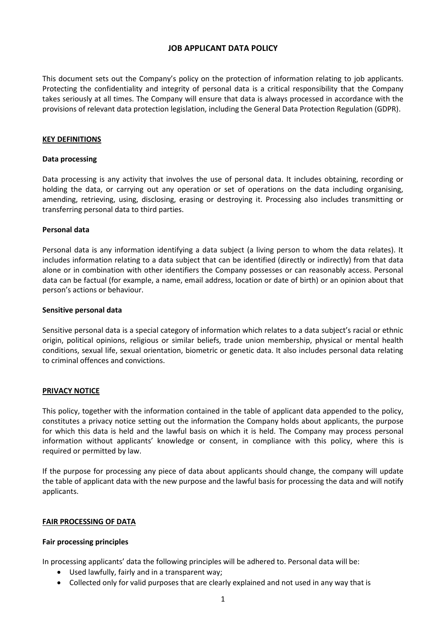# **JOB APPLICANT DATA POLICY**

This document sets out the Company's policy on the protection of information relating to job applicants. Protecting the confidentiality and integrity of personal data is a critical responsibility that the Company takes seriously at all times. The Company will ensure that data is always processed in accordance with the provisions of relevant data protection legislation, including the General Data Protection Regulation (GDPR).

#### **KEY DEFINITIONS**

#### **Data processing**

Data processing is any activity that involves the use of personal data. It includes obtaining, recording or holding the data, or carrying out any operation or set of operations on the data including organising, amending, retrieving, using, disclosing, erasing or destroying it. Processing also includes transmitting or transferring personal data to third parties.

#### **Personal data**

Personal data is any information identifying a data subject (a living person to whom the data relates). It includes information relating to a data subject that can be identified (directly or indirectly) from that data alone or in combination with other identifiers the Company possesses or can reasonably access. Personal data can be factual (for example, a name, email address, location or date of birth) or an opinion about that person's actions or behaviour.

#### **Sensitive personal data**

Sensitive personal data is a special category of information which relates to a data subject's racial or ethnic origin, political opinions, religious or similar beliefs, trade union membership, physical or mental health conditions, sexual life, sexual orientation, biometric or genetic data. It also includes personal data relating to criminal offences and convictions.

## **PRIVACY NOTICE**

This policy, together with the information contained in the table of applicant data appended to the policy, constitutes a privacy notice setting out the information the Company holds about applicants, the purpose for which this data is held and the lawful basis on which it is held. The Company may process personal information without applicants' knowledge or consent, in compliance with this policy, where this is required or permitted by law.

If the purpose for processing any piece of data about applicants should change, the company will update the table of applicant data with the new purpose and the lawful basis for processing the data and will notify applicants.

#### **FAIR PROCESSING OF DATA**

#### **Fair processing principles**

In processing applicants' data the following principles will be adhered to. Personal data will be:

- Used lawfully, fairly and in a transparent way;
- Collected only for valid purposes that are clearly explained and not used in any way that is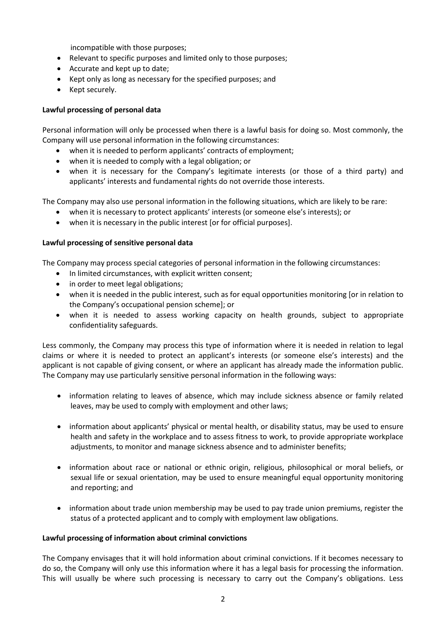incompatible with those purposes;

- Relevant to specific purposes and limited only to those purposes;
- Accurate and kept up to date;
- Kept only as long as necessary for the specified purposes; and
- Kept securely.

# **Lawful processing of personal data**

Personal information will only be processed when there is a lawful basis for doing so. Most commonly, the Company will use personal information in the following circumstances:

- when it is needed to perform applicants' contracts of employment;
- when it is needed to comply with a legal obligation; or
- when it is necessary for the Company's legitimate interests (or those of a third party) and applicants' interests and fundamental rights do not override those interests.

The Company may also use personal information in the following situations, which are likely to be rare:

- when it is necessary to protect applicants' interests (or someone else's interests); or
- when it is necessary in the public interest [or for official purposes].

## **Lawful processing of sensitive personal data**

The Company may process special categories of personal information in the following circumstances:

- In limited circumstances, with explicit written consent;
- in order to meet legal obligations;
- when it is needed in the public interest, such as for equal opportunities monitoring [or in relation to the Company's occupational pension scheme]; or
- when it is needed to assess working capacity on health grounds, subject to appropriate confidentiality safeguards.

Less commonly, the Company may process this type of information where it is needed in relation to legal claims or where it is needed to protect an applicant's interests (or someone else's interests) and the applicant is not capable of giving consent, or where an applicant has already made the information public. The Company may use particularly sensitive personal information in the following ways:

- information relating to leaves of absence, which may include sickness absence or family related leaves, may be used to comply with employment and other laws;
- information about applicants' physical or mental health, or disability status, may be used to ensure health and safety in the workplace and to assess fitness to work, to provide appropriate workplace adjustments, to monitor and manage sickness absence and to administer benefits;
- information about race or national or ethnic origin, religious, philosophical or moral beliefs, or sexual life or sexual orientation, may be used to ensure meaningful equal opportunity monitoring and reporting; and
- information about trade union membership may be used to pay trade union premiums, register the status of a protected applicant and to comply with employment law obligations.

## **Lawful processing of information about criminal convictions**

The Company envisages that it will hold information about criminal convictions. If it becomes necessary to do so, the Company will only use this information where it has a legal basis for processing the information. This will usually be where such processing is necessary to carry out the Company's obligations. Less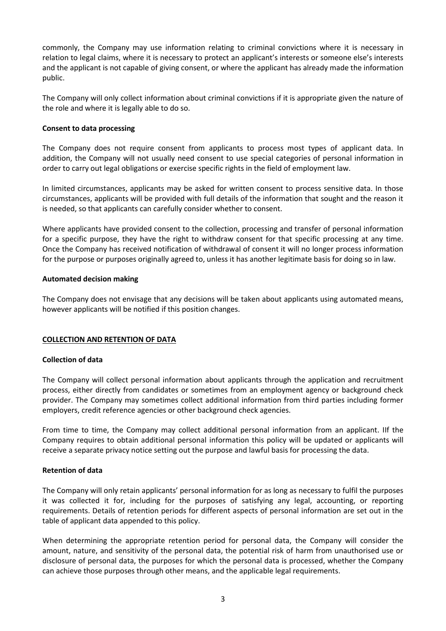commonly, the Company may use information relating to criminal convictions where it is necessary in relation to legal claims, where it is necessary to protect an applicant's interests or someone else's interests and the applicant is not capable of giving consent, or where the applicant has already made the information public.

The Company will only collect information about criminal convictions if it is appropriate given the nature of the role and where it is legally able to do so.

# **Consent to data processing**

The Company does not require consent from applicants to process most types of applicant data. In addition, the Company will not usually need consent to use special categories of personal information in order to carry out legal obligations or exercise specific rights in the field of employment law.

In limited circumstances, applicants may be asked for written consent to process sensitive data. In those circumstances, applicants will be provided with full details of the information that sought and the reason it is needed, so that applicants can carefully consider whether to consent.

Where applicants have provided consent to the collection, processing and transfer of personal information for a specific purpose, they have the right to withdraw consent for that specific processing at any time. Once the Company has received notification of withdrawal of consent it will no longer process information for the purpose or purposes originally agreed to, unless it has another legitimate basis for doing so in law.

# **Automated decision making**

The Company does not envisage that any decisions will be taken about applicants using automated means, however applicants will be notified if this position changes.

# **COLLECTION AND RETENTION OF DATA**

## **Collection of data**

The Company will collect personal information about applicants through the application and recruitment process, either directly from candidates or sometimes from an employment agency or background check provider. The Company may sometimes collect additional information from third parties including former employers, credit reference agencies or other background check agencies.

From time to time, the Company may collect additional personal information from an applicant. IIf the Company requires to obtain additional personal information this policy will be updated or applicants will receive a separate privacy notice setting out the purpose and lawful basis for processing the data.

## **Retention of data**

The Company will only retain applicants' personal information for as long as necessary to fulfil the purposes it was collected it for, including for the purposes of satisfying any legal, accounting, or reporting requirements. Details of retention periods for different aspects of personal information are set out in the table of applicant data appended to this policy.

When determining the appropriate retention period for personal data, the Company will consider the amount, nature, and sensitivity of the personal data, the potential risk of harm from unauthorised use or disclosure of personal data, the purposes for which the personal data is processed, whether the Company can achieve those purposes through other means, and the applicable legal requirements.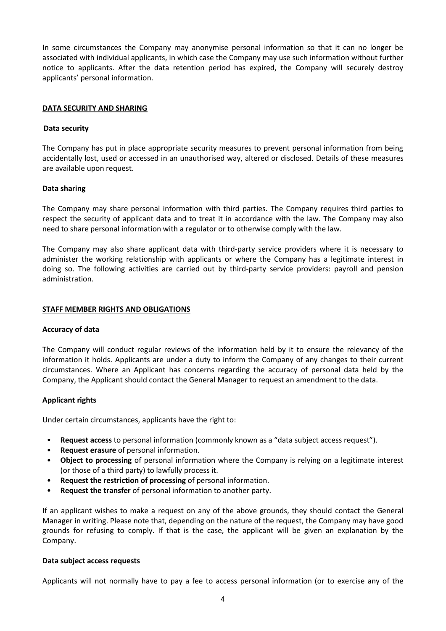In some circumstances the Company may anonymise personal information so that it can no longer be associated with individual applicants, in which case the Company may use such information without further notice to applicants. After the data retention period has expired, the Company will securely destroy applicants' personal information.

# **DATA SECURITY AND SHARING**

#### **Data security**

The Company has put in place appropriate security measures to prevent personal information from being accidentally lost, used or accessed in an unauthorised way, altered or disclosed. Details of these measures are available upon request.

## **Data sharing**

The Company may share personal information with third parties. The Company requires third parties to respect the security of applicant data and to treat it in accordance with the law. The Company may also need to share personal information with a regulator or to otherwise comply with the law.

The Company may also share applicant data with third-party service providers where it is necessary to administer the working relationship with applicants or where the Company has a legitimate interest in doing so. The following activities are carried out by third-party service providers: payroll and pension administration.

#### **STAFF MEMBER RIGHTS AND OBLIGATIONS**

#### **Accuracy of data**

The Company will conduct regular reviews of the information held by it to ensure the relevancy of the information it holds. Applicants are under a duty to inform the Company of any changes to their current circumstances. Where an Applicant has concerns regarding the accuracy of personal data held by the Company, the Applicant should contact the General Manager to request an amendment to the data.

## **Applicant rights**

Under certain circumstances, applicants have the right to:

- **Request access** to personal information (commonly known as a "data subject access request").
- **Request erasure** of personal information.
- **Object to processing** of personal information where the Company is relying on a legitimate interest (or those of a third party) to lawfully process it.
- **Request the restriction of processing** of personal information.
- **Request the transfer** of personal information to another party.

If an applicant wishes to make a request on any of the above grounds, they should contact the General Manager in writing. Please note that, depending on the nature of the request, the Company may have good grounds for refusing to comply. If that is the case, the applicant will be given an explanation by the Company.

#### **Data subject access requests**

Applicants will not normally have to pay a fee to access personal information (or to exercise any of the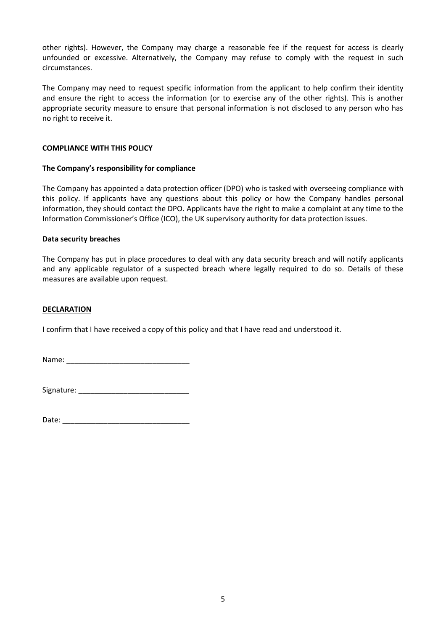other rights). However, the Company may charge a reasonable fee if the request for access is clearly unfounded or excessive. Alternatively, the Company may refuse to comply with the request in such circumstances.

The Company may need to request specific information from the applicant to help confirm their identity and ensure the right to access the information (or to exercise any of the other rights). This is another appropriate security measure to ensure that personal information is not disclosed to any person who has no right to receive it.

# **COMPLIANCE WITH THIS POLICY**

# **The Company's responsibility for compliance**

The Company has appointed a data protection officer (DPO) who is tasked with overseeing compliance with this policy. If applicants have any questions about this policy or how the Company handles personal information, they should contact the DPO. Applicants have the right to make a complaint at any time to the Information Commissioner's Office (ICO), the UK supervisory authority for data protection issues.

# **Data security breaches**

The Company has put in place procedures to deal with any data security breach and will notify applicants and any applicable regulator of a suspected breach where legally required to do so. Details of these measures are available upon request.

# **DECLARATION**

I confirm that I have received a copy of this policy and that I have read and understood it.

Name: \_\_\_\_\_\_\_\_\_\_\_\_\_\_\_\_\_\_\_\_\_\_\_\_\_\_\_\_\_\_

Signature: \_\_\_\_\_\_\_\_\_\_\_\_\_\_\_\_\_\_\_\_\_\_\_\_\_\_\_

Date: \_\_\_\_\_\_\_\_\_\_\_\_\_\_\_\_\_\_\_\_\_\_\_\_\_\_\_\_\_\_\_